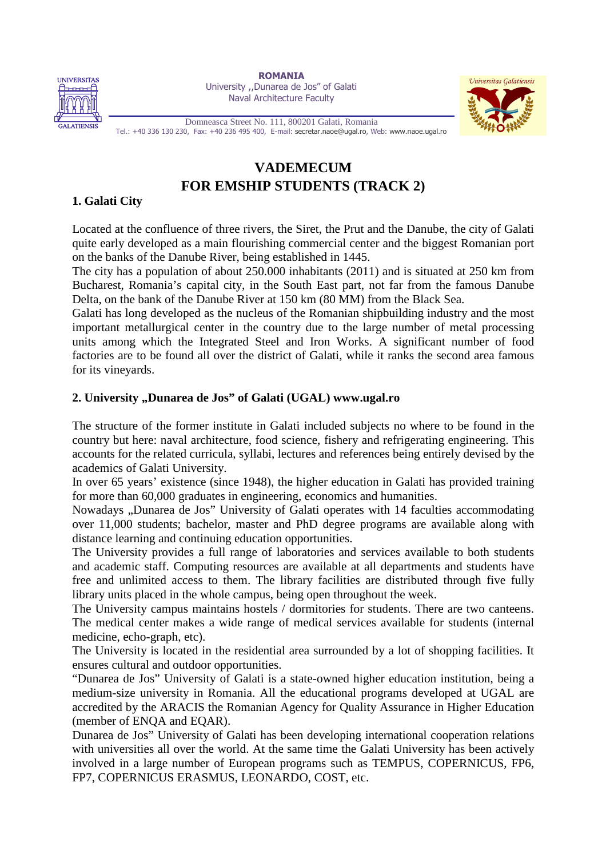

**ROMANIA**  University ,,Dunarea de Jos" of Galati Naval Architecture Faculty



Domneasca Street No. 111, 800201 Galati, Romania Tel.: +40 336 130 230, Fax: +40 236 495 400, E-mail: secretar.naoe@ugal.ro, Web: www.naoe.ugal.ro

# **VADEMECUM FOR EMSHIP STUDENTS (TRACK 2)**

## **1. Galati City**

Located at the confluence of three rivers, the Siret, the Prut and the Danube, the city of Galati quite early developed as a main flourishing commercial center and the biggest Romanian port on the banks of the Danube River, being established in 1445.

The city has a population of about 250.000 inhabitants (2011) and is situated at 250 km from Bucharest, Romania's capital city, in the South East part, not far from the famous Danube Delta, on the bank of the Danube River at 150 km (80 MM) from the Black Sea.

Galati has long developed as the nucleus of the Romanian shipbuilding industry and the most important metallurgical center in the country due to the large number of metal processing units among which the Integrated Steel and Iron Works. A significant number of food factories are to be found all over the district of Galati, while it ranks the second area famous for its vineyards.

## **2. University "Dunarea de Jos" of Galati (UGAL) www.ugal.ro**

The structure of the former institute in Galati included subjects no where to be found in the country but here: naval architecture, food science, fishery and refrigerating engineering. This accounts for the related curricula, syllabi, lectures and references being entirely devised by the academics of Galati University.

In over 65 years' existence (since 1948), the higher education in Galati has provided training for more than 60,000 graduates in engineering, economics and humanities.

Nowadays "Dunarea de Jos" University of Galati operates with 14 faculties accommodating over 11,000 students; bachelor, master and PhD degree programs are available along with distance learning and continuing education opportunities.

The University provides a full range of laboratories and services available to both students and academic staff. Computing resources are available at all departments and students have free and unlimited access to them. The library facilities are distributed through five fully library units placed in the whole campus, being open throughout the week.

The University campus maintains hostels / dormitories for students. There are two canteens. The medical center makes a wide range of medical services available for students (internal medicine, echo-graph, etc).

The University is located in the residential area surrounded by a lot of shopping facilities. It ensures cultural and outdoor opportunities.

"Dunarea de Jos" University of Galati is a state-owned higher education institution, being a medium-size university in Romania. All the educational programs developed at UGAL are accredited by the ARACIS the Romanian Agency for Quality Assurance in Higher Education (member of ENQA and EQAR).

Dunarea de Jos" University of Galati has been developing international cooperation relations with universities all over the world. At the same time the Galati University has been actively involved in a large number of European programs such as TEMPUS, COPERNICUS, FP6, FP7, COPERNICUS ERASMUS, LEONARDO, COST, etc.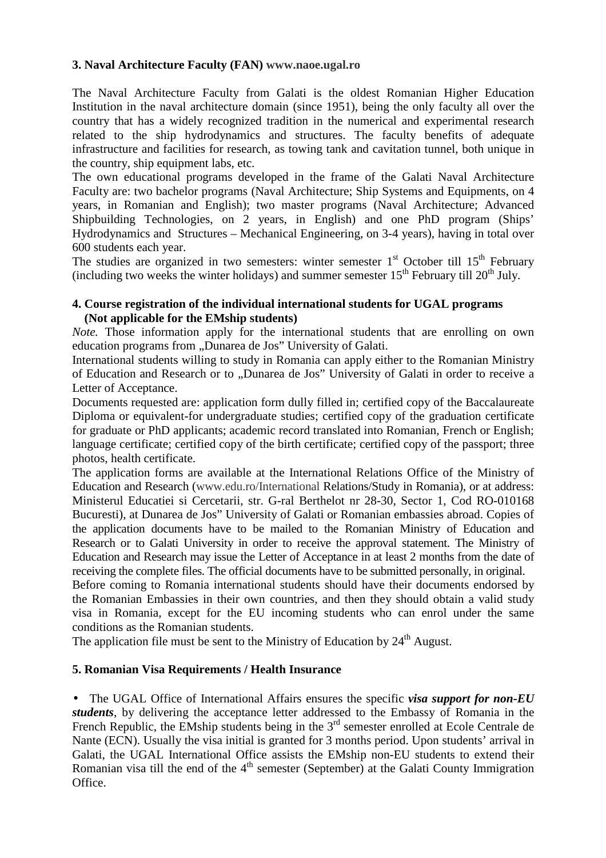## **3. Naval Architecture Faculty (FAN) www.naoe.ugal.ro**

The Naval Architecture Faculty from Galati is the oldest Romanian Higher Education Institution in the naval architecture domain (since 1951), being the only faculty all over the country that has a widely recognized tradition in the numerical and experimental research related to the ship hydrodynamics and structures. The faculty benefits of adequate infrastructure and facilities for research, as towing tank and cavitation tunnel, both unique in the country, ship equipment labs, etc.

The own educational programs developed in the frame of the Galati Naval Architecture Faculty are: two bachelor programs (Naval Architecture; Ship Systems and Equipments, on 4 years, in Romanian and English); two master programs (Naval Architecture; Advanced Shipbuilding Technologies, on 2 years, in English) and one PhD program (Ships' Hydrodynamics and Structures – Mechanical Engineering, on 3-4 years), having in total over 600 students each year.

The studies are organized in two semesters: winter semester  $1<sup>st</sup>$  October till  $15<sup>th</sup>$  February (including two weeks the winter holidays) and summer semester  $15<sup>th</sup>$  February till  $20<sup>th</sup>$  July.

### **4. Course registration of the individual international students for UGAL programs (Not applicable for the EMship students)**

*Note*. Those information apply for the international students that are enrolling on own education programs from "Dunarea de Jos" University of Galati.

International students willing to study in Romania can apply either to the Romanian Ministry of Education and Research or to . Dunarea de Jos" University of Galati in order to receive a Letter of Acceptance.

Documents requested are: application form dully filled in; certified copy of the Baccalaureate Diploma or equivalent-for undergraduate studies; certified copy of the graduation certificate for graduate or PhD applicants; academic record translated into Romanian, French or English; language certificate; certified copy of the birth certificate; certified copy of the passport; three photos, health certificate.

The application forms are available at the International Relations Office of the Ministry of Education and Research (www.edu.ro/International Relations/Study in Romania), or at address: Ministerul Educatiei si Cercetarii, str. G-ral Berthelot nr 28-30, Sector 1, Cod RO-010168 Bucuresti), at Dunarea de Jos" University of Galati or Romanian embassies abroad. Copies of the application documents have to be mailed to the Romanian Ministry of Education and Research or to Galati University in order to receive the approval statement. The Ministry of Education and Research may issue the Letter of Acceptance in at least 2 months from the date of receiving the complete files. The official documents have to be submitted personally, in original.

Before coming to Romania international students should have their documents endorsed by the Romanian Embassies in their own countries, and then they should obtain a valid study visa in Romania, except for the EU incoming students who can enrol under the same conditions as the Romanian students.

The application file must be sent to the Ministry of Education by  $24<sup>th</sup>$  August.

### **5. Romanian Visa Requirements / Health Insurance**

• The UGAL Office of International Affairs ensures the specific *visa support for non-EU students*, by delivering the acceptance letter addressed to the Embassy of Romania in the French Republic, the EMship students being in the  $3<sup>rd</sup>$  semester enrolled at Ecole Centrale de Nante (ECN). Usually the visa initial is granted for 3 months period. Upon students' arrival in Galati, the UGAL International Office assists the EMship non-EU students to extend their Romanian visa till the end of the  $4<sup>th</sup>$  semester (September) at the Galati County Immigration Office.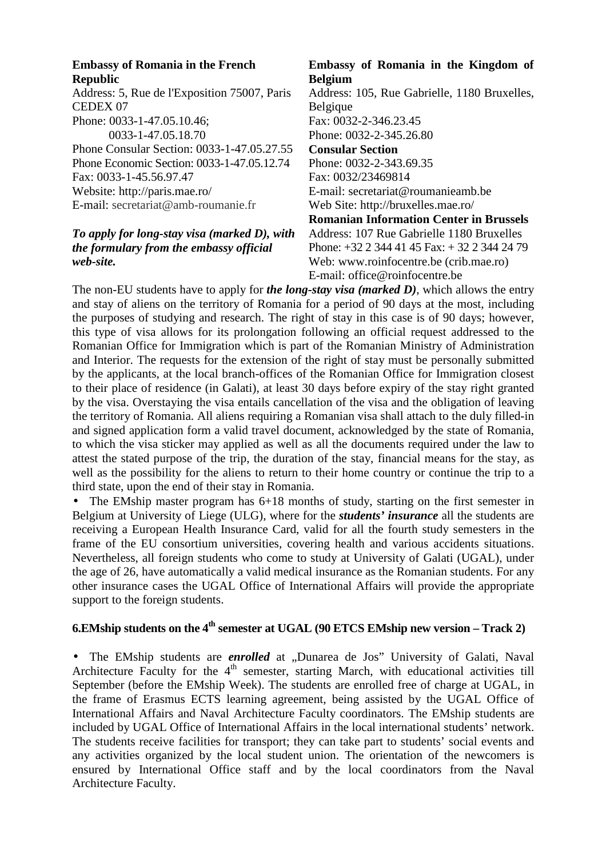#### **Embassy of Romania in the French Republic**

Address: 5, Rue de l'Exposition 75007, Paris CEDEX 07 Phone: 0033-1-47.05.10.46; 0033-1-47.05.18.70 Phone Consular Section: 0033-1-47.05.27.55 Phone Economic Section: 0033-1-47.05.12.74 Fax: 0033-1-45.56.97.47 Website: http://paris.mae.ro/ E-mail: secretariat@amb-roumanie.fr

## *To apply for long-stay visa (marked D), with the formulary from the embassy official web-site.*

### **Embassy of Romania in the Kingdom of Belgium**

Address: 105, Rue Gabrielle, 1180 Bruxelles, Belgique Fax: 0032-2-346.23.45 Phone: 0032-2-345.26.80 **Consular Section**  Phone: 0032-2-343.69.35 Fax: 0032/23469814 E-mail: secretariat@roumanieamb.be Web Site: http://bruxelles.mae.ro/ **Romanian Information Center in Brussels** Address: 107 Rue Gabrielle 1180 Bruxelles Phone: +32 2 344 41 45 Fax: + 32 2 344 24 79 Web: www.roinfocentre.be (crib.mae.ro) E-mail: office@roinfocentre.be

The non-EU students have to apply for *the long-stay visa (marked D)*, which allows the entry and stay of aliens on the territory of Romania for a period of 90 days at the most, including the purposes of studying and research. The right of stay in this case is of 90 days; however, this type of visa allows for its prolongation following an official request addressed to the Romanian Office for Immigration which is part of the Romanian Ministry of Administration and Interior. The requests for the extension of the right of stay must be personally submitted by the applicants, at the local branch-offices of the Romanian Office for Immigration closest to their place of residence (in Galati), at least 30 days before expiry of the stay right granted by the visa. Overstaying the visa entails cancellation of the visa and the obligation of leaving the territory of Romania. All aliens requiring a Romanian visa shall attach to the duly filled-in and signed application form a valid travel document, acknowledged by the state of Romania, to which the visa sticker may applied as well as all the documents required under the law to attest the stated purpose of the trip, the duration of the stay, financial means for the stay, as well as the possibility for the aliens to return to their home country or continue the trip to a third state, upon the end of their stay in Romania.

The EMship master program has  $6+18$  months of study, starting on the first semester in Belgium at University of Liege (ULG), where for the *students' insurance* all the students are receiving a European Health Insurance Card, valid for all the fourth study semesters in the frame of the EU consortium universities, covering health and various accidents situations. Nevertheless, all foreign students who come to study at University of Galati (UGAL), under the age of 26, have automatically a valid medical insurance as the Romanian students. For any other insurance cases the UGAL Office of International Affairs will provide the appropriate support to the foreign students.

# **6.EMship students on the 4th semester at UGAL (90 ETCS EMship new version – Track 2)**

• The EMship students are *enrolled* at "Dunarea de Jos" University of Galati, Naval Architecture Faculty for the 4<sup>th</sup> semester, starting March, with educational activities till September (before the EMship Week). The students are enrolled free of charge at UGAL, in the frame of Erasmus ECTS learning agreement, being assisted by the UGAL Office of International Affairs and Naval Architecture Faculty coordinators. The EMship students are included by UGAL Office of International Affairs in the local international students' network. The students receive facilities for transport; they can take part to students' social events and any activities organized by the local student union. The orientation of the newcomers is ensured by International Office staff and by the local coordinators from the Naval Architecture Faculty.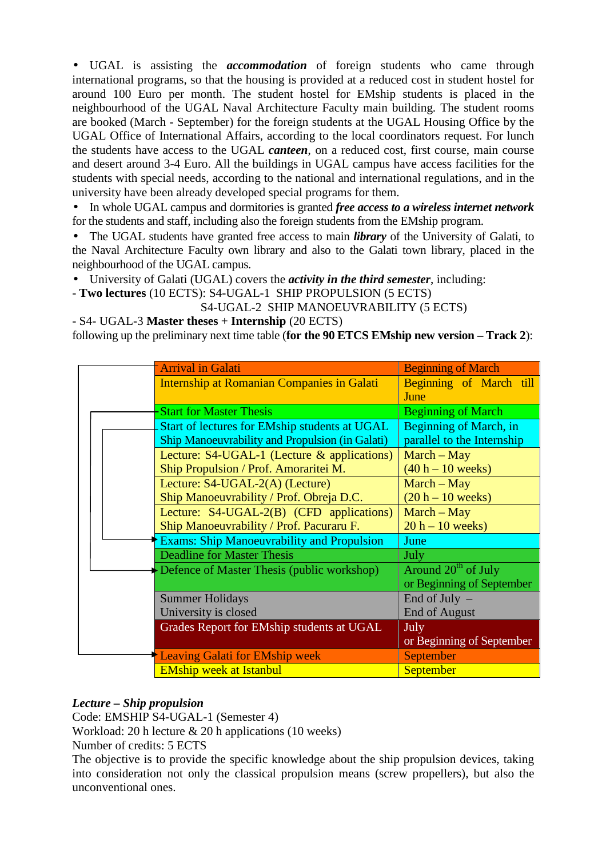• UGAL is assisting the *accommodation* of foreign students who came through international programs, so that the housing is provided at a reduced cost in student hostel for around 100 Euro per month. The student hostel for EMship students is placed in the neighbourhood of the UGAL Naval Architecture Faculty main building. The student rooms are booked (March - September) for the foreign students at the UGAL Housing Office by the UGAL Office of International Affairs, according to the local coordinators request. For lunch the students have access to the UGAL *canteen*, on a reduced cost, first course, main course and desert around 3-4 Euro. All the buildings in UGAL campus have access facilities for the students with special needs, according to the national and international regulations, and in the university have been already developed special programs for them.

• In whole UGAL campus and dormitories is granted *free access to a wireless internet network* for the students and staff, including also the foreign students from the EMship program.

• The UGAL students have granted free access to main *library* of the University of Galati, to the Naval Architecture Faculty own library and also to the Galati town library, placed in the neighbourhood of the UGAL campus.

• University of Galati (UGAL) covers the *activity in the third semester*, including:

- **Two lectures** (10 ECTS): S4-UGAL-1 SHIP PROPULSION (5 ECTS)

S4-UGAL-2 SHIP MANOEUVRABILITY (5 ECTS)

- S4- UGAL-3 **Master theses** + **Internship** (20 ECTS) following up the preliminary next time table (**for the 90 ETCS EMship new version – Track 2**):

|                                                                                                                                                                  | <b>Arrival in Galati</b>                          | <b>Beginning of March</b>  |
|------------------------------------------------------------------------------------------------------------------------------------------------------------------|---------------------------------------------------|----------------------------|
|                                                                                                                                                                  | <b>Internship at Romanian Companies in Galati</b> | Beginning of March till    |
|                                                                                                                                                                  |                                                   | June                       |
| <b>Start for Master Thesis</b>                                                                                                                                   |                                                   | <b>Beginning of March</b>  |
|                                                                                                                                                                  | Start of lectures for EMship students at UGAL     | Beginning of March, in     |
| <b>Ship Manoeuvrability and Propulsion (in Galati)</b>                                                                                                           |                                                   | parallel to the Internship |
|                                                                                                                                                                  | Lecture: $S4-UGAL-1$ (Lecture & applications)     |                            |
| Ship Propulsion / Prof. Amoraritei M.<br>Lecture: S4-UGAL-2(A) (Lecture)<br>Ship Manoeuvrability / Prof. Obreja D.C.<br>Lecture: S4-UGAL-2(B) (CFD applications) |                                                   | $(40 h - 10 weeks)$        |
|                                                                                                                                                                  |                                                   | $March - May$              |
|                                                                                                                                                                  |                                                   | $(20 h - 10 weeks)$        |
|                                                                                                                                                                  |                                                   | $March - May$              |
|                                                                                                                                                                  | Ship Manoeuvrability / Prof. Pacuraru F.          |                            |
| <b>Exams: Ship Manoeuvrability and Propulsion</b>                                                                                                                |                                                   | June                       |
|                                                                                                                                                                  | <b>Deadline for Master Thesis</b>                 | July                       |
| $\rightarrow$ Defence of Master Thesis (public workshop)                                                                                                         |                                                   | Around $20th$ of July      |
|                                                                                                                                                                  |                                                   | or Beginning of September  |
|                                                                                                                                                                  | <b>Summer Holidays</b>                            | End of July $-$            |
| University is closed                                                                                                                                             |                                                   | <b>End of August</b>       |
| Grades Report for EMship students at UGAL                                                                                                                        |                                                   | July                       |
|                                                                                                                                                                  |                                                   | or Beginning of September  |
|                                                                                                                                                                  | Leaving Galati for EMship week                    | <b>September</b>           |
|                                                                                                                                                                  | <b>EMship week at Istanbul</b>                    | <b>September</b>           |

## *Lecture – Ship propulsion*

Code: EMSHIP S4-UGAL-1 (Semester 4)

Workload: 20 h lecture & 20 h applications (10 weeks)

Number of credits: 5 ECTS

The objective is to provide the specific knowledge about the ship propulsion devices, taking into consideration not only the classical propulsion means (screw propellers), but also the unconventional ones.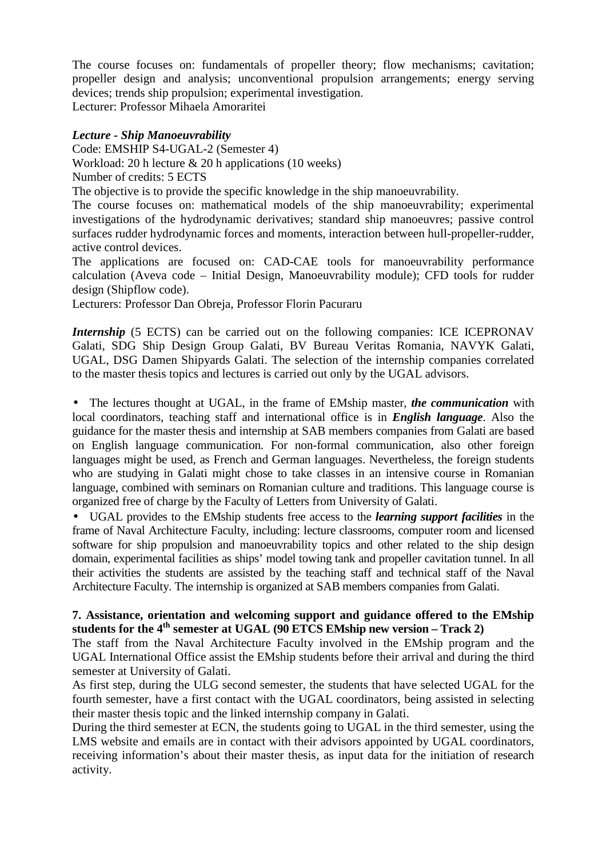The course focuses on: fundamentals of propeller theory; flow mechanisms; cavitation; propeller design and analysis; unconventional propulsion arrangements; energy serving devices; trends ship propulsion; experimental investigation.

Lecturer: Professor Mihaela Amoraritei

## *Lecture - Ship Manoeuvrability*

Code: EMSHIP S4-UGAL-2 (Semester 4) Workload: 20 h lecture & 20 h applications (10 weeks) Number of credits: 5 ECTS

The objective is to provide the specific knowledge in the ship manoeuvrability.

The course focuses on: mathematical models of the ship manoeuvrability; experimental investigations of the hydrodynamic derivatives; standard ship manoeuvres; passive control surfaces rudder hydrodynamic forces and moments, interaction between hull-propeller-rudder, active control devices.

The applications are focused on: CAD-CAE tools for manoeuvrability performance calculation (Aveva code – Initial Design, Manoeuvrability module); CFD tools for rudder design (Shipflow code).

Lecturers: Professor Dan Obreja, Professor Florin Pacuraru

*Internship* (5 ECTS) can be carried out on the following companies: ICE ICEPRONAV Galati, SDG Ship Design Group Galati, BV Bureau Veritas Romania, NAVYK Galati, UGAL, DSG Damen Shipyards Galati. The selection of the internship companies correlated to the master thesis topics and lectures is carried out only by the UGAL advisors.

• The lectures thought at UGAL, in the frame of EMship master, *the communication* with local coordinators, teaching staff and international office is in *English language*. Also the guidance for the master thesis and internship at SAB members companies from Galati are based on English language communication. For non-formal communication, also other foreign languages might be used, as French and German languages. Nevertheless, the foreign students who are studying in Galati might chose to take classes in an intensive course in Romanian language, combined with seminars on Romanian culture and traditions. This language course is organized free of charge by the Faculty of Letters from University of Galati.

• UGAL provides to the EMship students free access to the *learning support facilities* in the frame of Naval Architecture Faculty, including: lecture classrooms, computer room and licensed software for ship propulsion and manoeuvrability topics and other related to the ship design domain, experimental facilities as ships' model towing tank and propeller cavitation tunnel. In all their activities the students are assisted by the teaching staff and technical staff of the Naval Architecture Faculty. The internship is organized at SAB members companies from Galati.

## **7. Assistance, orientation and welcoming support and guidance offered to the EMship students for the 4th semester at UGAL (90 ETCS EMship new version – Track 2)**

The staff from the Naval Architecture Faculty involved in the EMship program and the UGAL International Office assist the EMship students before their arrival and during the third semester at University of Galati.

As first step, during the ULG second semester, the students that have selected UGAL for the fourth semester, have a first contact with the UGAL coordinators, being assisted in selecting their master thesis topic and the linked internship company in Galati.

During the third semester at ECN, the students going to UGAL in the third semester, using the LMS website and emails are in contact with their advisors appointed by UGAL coordinators, receiving information's about their master thesis, as input data for the initiation of research activity.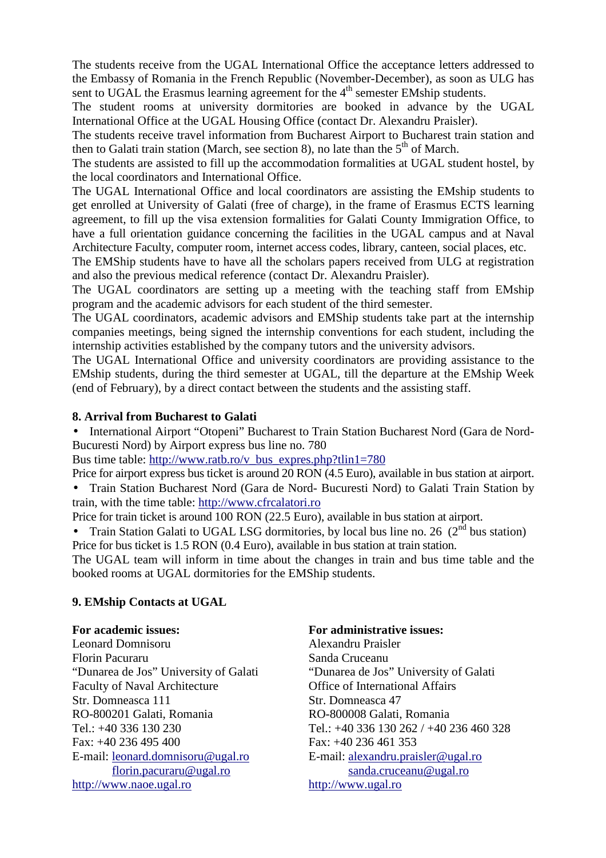The students receive from the UGAL International Office the acceptance letters addressed to the Embassy of Romania in the French Republic (November-December), as soon as ULG has sent to UGAL the Erasmus learning agreement for the  $4<sup>th</sup>$  semester EMship students.

The student rooms at university dormitories are booked in advance by the UGAL International Office at the UGAL Housing Office (contact Dr. Alexandru Praisler).

The students receive travel information from Bucharest Airport to Bucharest train station and then to Galati train station (March, see section 8), no late than the  $5<sup>th</sup>$  of March.

The students are assisted to fill up the accommodation formalities at UGAL student hostel, by the local coordinators and International Office.

The UGAL International Office and local coordinators are assisting the EMship students to get enrolled at University of Galati (free of charge), in the frame of Erasmus ECTS learning agreement, to fill up the visa extension formalities for Galati County Immigration Office, to have a full orientation guidance concerning the facilities in the UGAL campus and at Naval Architecture Faculty, computer room, internet access codes, library, canteen, social places, etc.

The EMShip students have to have all the scholars papers received from ULG at registration and also the previous medical reference (contact Dr. Alexandru Praisler).

The UGAL coordinators are setting up a meeting with the teaching staff from EMship program and the academic advisors for each student of the third semester.

The UGAL coordinators, academic advisors and EMShip students take part at the internship companies meetings, being signed the internship conventions for each student, including the internship activities established by the company tutors and the university advisors.

The UGAL International Office and university coordinators are providing assistance to the EMship students, during the third semester at UGAL, till the departure at the EMship Week (end of February), by a direct contact between the students and the assisting staff.

### **8. Arrival from Bucharest to Galati**

• International Airport "Otopeni" Bucharest to Train Station Bucharest Nord (Gara de Nord-Bucuresti Nord) by Airport express bus line no. 780

Bus time table: http://www.ratb.ro/v\_bus\_expres.php?tlin1=780

Price for airport express bus ticket is around 20 RON (4.5 Euro), available in bus station at airport.

• Train Station Bucharest Nord (Gara de Nord- Bucuresti Nord) to Galati Train Station by train, with the time table: http://www.cfrcalatori.ro

Price for train ticket is around 100 RON (22.5 Euro), available in bus station at airport.

Train Station Galati to UGAL LSG dormitories, by local bus line no. 26  $(2^{nd}$  bus station) Price for bus ticket is 1.5 RON (0.4 Euro), available in bus station at train station.

The UGAL team will inform in time about the changes in train and bus time table and the booked rooms at UGAL dormitories for the EMShip students.

### **9. EMship Contacts at UGAL**

### **For academic issues:**

Leonard Domnisoru Florin Pacuraru "Dunarea de Jos" University of Galati Faculty of Naval Architecture Str. Domneasca 111 RO-800201 Galati, Romania Tel.: +40 336 130 230 Fax: +40 236 495 400 E-mail: leonard.domnisoru@ugal.ro florin.pacuraru@ugal.ro http://www.naoe.ugal.ro

#### **For administrative issues:**

Alexandru Praisler Sanda Cruceanu "Dunarea de Jos" University of Galati Office of International Affairs Str. Domneasca 47 RO-800008 Galati, Romania Tel.: +40 336 130 262 / +40 236 460 328 Fax: +40 236 461 353 E-mail: alexandru.praisler@ugal.ro sanda.cruceanu@ugal.ro http://www.ugal.ro